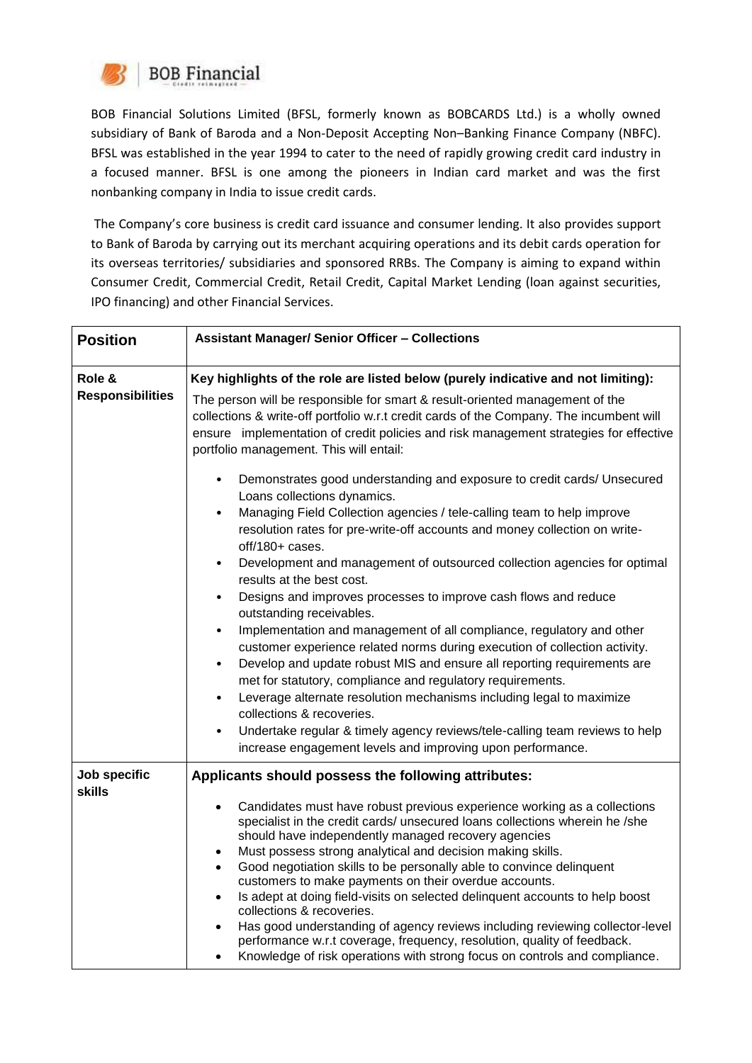

BOB Financial Solutions Limited (BFSL, formerly known as BOBCARDS Ltd.) is a wholly owned subsidiary of Bank of Baroda and a Non-Deposit Accepting Non–Banking Finance Company (NBFC). BFSL was established in the year 1994 to cater to the need of rapidly growing credit card industry in a focused manner. BFSL is one among the pioneers in Indian card market and was the first nonbanking company in India to issue credit cards.

The Company's core business is credit card issuance and consumer lending. It also provides support to Bank of Baroda by carrying out its merchant acquiring operations and its debit cards operation for its overseas territories/ subsidiaries and sponsored RRBs. The Company is aiming to expand within Consumer Credit, Commercial Credit, Retail Credit, Capital Market Lending (loan against securities, IPO financing) and other Financial Services.

| <b>Position</b>                   | <b>Assistant Manager/ Senior Officer - Collections</b>                                                                                                                                                                                                                                                                                                                                                                                                                                                                                                                                                                                                                                                                                                                                                                                                                                                                                                                                                                                                                                                                                                                                                                                                                                                                                                                                                                                                                                                                             |
|-----------------------------------|------------------------------------------------------------------------------------------------------------------------------------------------------------------------------------------------------------------------------------------------------------------------------------------------------------------------------------------------------------------------------------------------------------------------------------------------------------------------------------------------------------------------------------------------------------------------------------------------------------------------------------------------------------------------------------------------------------------------------------------------------------------------------------------------------------------------------------------------------------------------------------------------------------------------------------------------------------------------------------------------------------------------------------------------------------------------------------------------------------------------------------------------------------------------------------------------------------------------------------------------------------------------------------------------------------------------------------------------------------------------------------------------------------------------------------------------------------------------------------------------------------------------------------|
| Role &<br><b>Responsibilities</b> | Key highlights of the role are listed below (purely indicative and not limiting):<br>The person will be responsible for smart & result-oriented management of the<br>collections & write-off portfolio w.r.t credit cards of the Company. The incumbent will<br>ensure implementation of credit policies and risk management strategies for effective<br>portfolio management. This will entail:<br>Demonstrates good understanding and exposure to credit cards/ Unsecured<br>Loans collections dynamics.<br>Managing Field Collection agencies / tele-calling team to help improve<br>$\bullet$<br>resolution rates for pre-write-off accounts and money collection on write-<br>off/180+ cases.<br>Development and management of outsourced collection agencies for optimal<br>$\bullet$<br>results at the best cost.<br>Designs and improves processes to improve cash flows and reduce<br>$\bullet$<br>outstanding receivables.<br>Implementation and management of all compliance, regulatory and other<br>$\bullet$<br>customer experience related norms during execution of collection activity.<br>Develop and update robust MIS and ensure all reporting requirements are<br>$\bullet$<br>met for statutory, compliance and regulatory requirements.<br>Leverage alternate resolution mechanisms including legal to maximize<br>$\bullet$<br>collections & recoveries.<br>Undertake regular & timely agency reviews/tele-calling team reviews to help<br>٠<br>increase engagement levels and improving upon performance. |
| Job specific<br><b>skills</b>     | Applicants should possess the following attributes:<br>Candidates must have robust previous experience working as a collections<br>specialist in the credit cards/ unsecured loans collections wherein he /she<br>should have independently managed recovery agencies<br>Must possess strong analytical and decision making skills.<br>$\bullet$<br>Good negotiation skills to be personally able to convince delinquent<br>customers to make payments on their overdue accounts.<br>Is adept at doing field-visits on selected delinquent accounts to help boost<br>collections & recoveries.<br>Has good understanding of agency reviews including reviewing collector-level<br>performance w.r.t coverage, frequency, resolution, quality of feedback.<br>Knowledge of risk operations with strong focus on controls and compliance.                                                                                                                                                                                                                                                                                                                                                                                                                                                                                                                                                                                                                                                                                            |